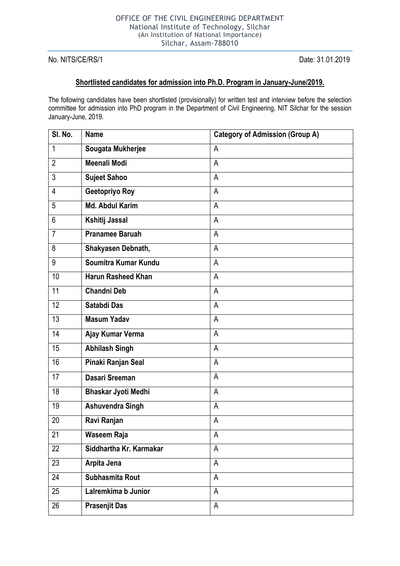No. NITS/CE/RS/1 Date: 31.01.2019

## **Shortlisted candidates for admission into Ph.D. Program in January-June/2019.**

The following candidates have been shortlisted (provisionally) for written test and interview before the selection committee for admission into PhD program in the Department of Civil Engineering, NIT Silchar for the session January-June, 2019.

| SI. No.        | <b>Name</b>                | <b>Category of Admission (Group A)</b> |
|----------------|----------------------------|----------------------------------------|
| 1              | Sougata Mukherjee          | A                                      |
| $\overline{2}$ | <b>Meenali Modi</b>        | A                                      |
| 3              | <b>Sujeet Sahoo</b>        | A                                      |
| 4              | Geetopriyo Roy             | A                                      |
| 5              | <b>Md. Abdul Karim</b>     | A                                      |
| 6              | Kshitij Jassal             | A                                      |
| $\overline{7}$ | <b>Pranamee Baruah</b>     | A                                      |
| 8              | Shakyasen Debnath,         | A                                      |
| 9              | Soumitra Kumar Kundu       | A                                      |
| 10             | <b>Harun Rasheed Khan</b>  | A                                      |
| 11             | <b>Chandni Deb</b>         | A                                      |
| 12             | Satabdi Das                | A                                      |
| 13             | <b>Masum Yadav</b>         | A                                      |
| 14             | Ajay Kumar Verma           | A                                      |
| 15             | <b>Abhilash Singh</b>      | A                                      |
| 16             | Pinaki Ranjan Seal         | A                                      |
| 17             | <b>Dasari Sreeman</b>      | A                                      |
| 18             | <b>Bhaskar Jyoti Medhi</b> | A                                      |
| 19             | <b>Ashuvendra Singh</b>    | A                                      |
| 20             | Ravi Ranjan                | A                                      |
| 21             | <b>Waseem Raja</b>         | А                                      |
| 22             | Siddhartha Kr. Karmakar    | A                                      |
| 23             | Arpita Jena                | $\overline{A}$                         |
| 24             | Subhasmita Rout            | A                                      |
| 25             | Lalremkima b Junior        | A                                      |
| 26             | <b>Prasenjit Das</b>       | A                                      |